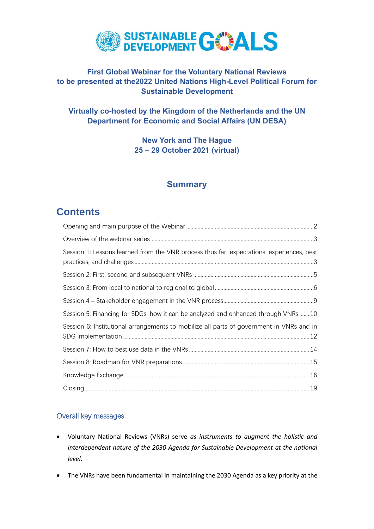

# **First Global Webinar for the Voluntary National Reviews to be presented at the2022 United Nations High-Level Political Forum for Sustainable Development**

# **Virtually co-hosted by the Kingdom of the Netherlands and the UN Department for Economic and Social Affairs (UN DESA)**

**New York and The Hague 25 – 29 October 2021 (virtual)**

# **Summary**

# **Contents**

| Session 1: Lessons learned from the VNR process thus far: expectations, experiences, best |  |
|-------------------------------------------------------------------------------------------|--|
|                                                                                           |  |
|                                                                                           |  |
|                                                                                           |  |
| Session 5: Financing for SDGs: how it can be analyzed and enhanced through VNRs10         |  |
| Session 6: Institutional arrangements to mobilize all parts of government in VNRs and in  |  |
|                                                                                           |  |
|                                                                                           |  |
|                                                                                           |  |
|                                                                                           |  |

# Overall key messages

- Voluntary National Reviews (VNRs) serve *as instruments to augment the holistic and interdependent nature of the 2030 Agenda for Sustainable Development at the national level*.
- The VNRs have been fundamental in maintaining the 2030 Agenda as a key priority at the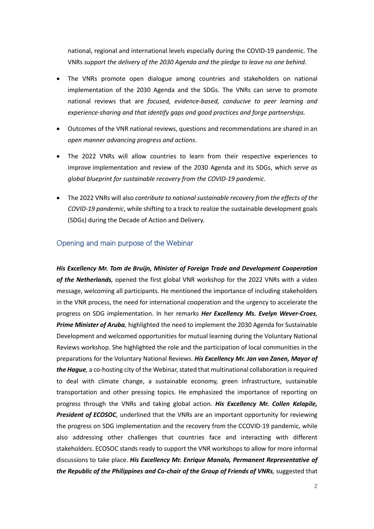national, regional and international levels especially during the COVID-19 pandemic. The VNRs *support the delivery of the 2030 Agenda and the pledge to leave no one behind*.

- The VNRs promote open dialogue among countries and stakeholders on national implementation of the 2030 Agenda and the SDGs. The VNRs can serve to promote national reviews that are *focused, evidence-based, conducive to peer learning and experience-sharing and that identify gaps and good practices and forge partnerships.*
- Outcomes of the VNR national reviews, questions and recommendations are shared in an *open manner advancing progress and actions*.
- The 2022 VNRs will allow countries to learn from their respective experiences to improve implementation and review of the 2030 Agenda and its SDGs, which *serve as global blueprint for sustainable recovery from the COVID-19 pandemic*.
- The 2022 VNRs will also *contribute to national sustainable recovery from the effects of the COVID-19 pandemic*, while shifting to a track to realize the sustainable development goals (SDGs) during the Decade of Action and Delivery.

#### <span id="page-1-0"></span>Opening and main purpose of the Webinar

*His Excellency Mr. Tom de Bruijn, Minister of Foreign Trade and Development Cooperation of the Netherlands,* opened the first global VNR workshop for the 2022 VNRs with a video message, welcoming all participants. He mentioned the importance of including stakeholders in the VNR process, the need for international cooperation and the urgency to accelerate the progress on SDG implementation. In her remarks *Her Excellency Ms. Evelyn Wever-Croes, Prime Minister of Aruba,* highlighted the need to implement the 2030 Agenda for Sustainable Development and welcomed opportunities for mutual learning during the Voluntary National Reviews workshop. She highlighted the role and the participation of local communities in the preparations for the Voluntary National Reviews. *His Excellency Mr. Jan van Zanen, Mayor of the Hague,* a co-hosting city of the Webinar, stated that multinational collaboration is required to deal with climate change, a sustainable economy, green infrastructure, sustainable transportation and other pressing topics. He emphasized the importance of reporting on progress through the VNRs and taking global action. *His Excellency Mr. Collen Kelapile, President of ECOSOC,* underlined that the VNRs are an important opportunity for reviewing the progress on SDG implementation and the recovery from the CCOVID-19 pandemic, while also addressing other challenges that countries face and interacting with different stakeholders. ECOSOC stands ready to support the VNR workshops to allow for more informal discussions to take place. *His Excellency Mr. Enrique Manalo, Permanent Representative of the Republic of the Philippines and Co-chair of the Group of Friends of VNRs,* suggested that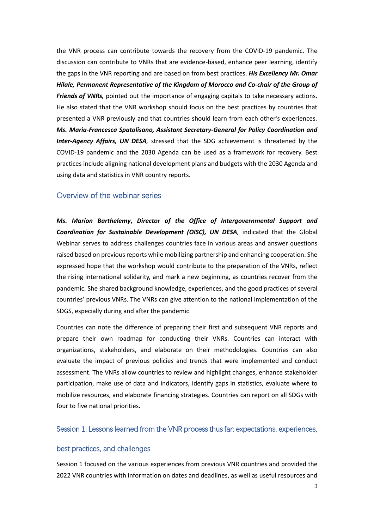the VNR process can contribute towards the recovery from the COVID-19 pandemic. The discussion can contribute to VNRs that are evidence-based, enhance peer learning, identify the gaps in the VNR reporting and are based on from best practices. *His Excellency Mr. Omar Hilale, Permanent Representative of the Kingdom of Morocco and Co-chair of the Group of Friends of VNRs,* pointed out the importance of engaging capitals to take necessary actions. He also stated that the VNR workshop should focus on the best practices by countries that presented a VNR previously and that countries should learn from each other's experiences. *Ms. Maria-Francesca Spatolisano, Assistant Secretary-General for Policy Coordination and Inter-Agency Affairs, UN DESA,* stressed that the SDG achievement is threatened by the COVID-19 pandemic and the 2030 Agenda can be used as a framework for recovery. Best practices include aligning national development plans and budgets with the 2030 Agenda and using data and statistics in VNR country reports.

### <span id="page-2-0"></span>Overview of the webinar series

*Ms. Marion Barthelemy***,** *Director of the Office of Intergovernmental Support and Coordination for Sustainable Development (OISC), UN DESA,* indicated that the Global Webinar serves to address challenges countries face in various areas and answer questions raised based on previous reports while mobilizing partnership and enhancing cooperation. She expressed hope that the workshop would contribute to the preparation of the VNRs, reflect the rising international solidarity, and mark a new beginning, as countries recover from the pandemic. She shared background knowledge, experiences, and the good practices of several countries' previous VNRs. The VNRs can give attention to the national implementation of the SDGS, especially during and after the pandemic.

Countries can note the difference of preparing their first and subsequent VNR reports and prepare their own roadmap for conducting their VNRs. Countries can interact with organizations, stakeholders, and elaborate on their methodologies. Countries can also evaluate the impact of previous policies and trends that were implemented and conduct assessment. The VNRs allow countries to review and highlight changes, enhance stakeholder participation, make use of data and indicators, identify gaps in statistics, evaluate where to mobilize resources, and elaborate financing strategies. Countries can report on all SDGs with four to five national priorities.

#### <span id="page-2-1"></span>Session 1: Lessons learned from the VNR process thus far: expectations, experiences,

#### best practices, and challenges

Session 1 focused on the various experiences from previous VNR countries and provided the 2022 VNR countries with information on dates and deadlines, as well as useful resources and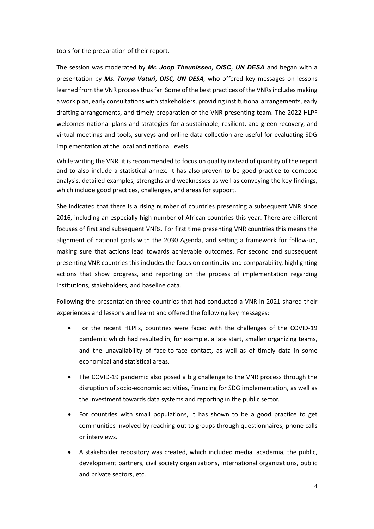tools for the preparation of their report.

The session was moderated by *Mr. Joop Theunissen, OISC, UN DESA* and began with a presentation by *Ms. Tonya Vaturi***,** *OISC, UN DESA,* who offered key messages on lessons learned from the VNR process thus far. Some of the best practices of the VNRsincludes making a work plan, early consultations with stakeholders, providing institutional arrangements, early drafting arrangements, and timely preparation of the VNR presenting team. The 2022 HLPF welcomes national plans and strategies for a sustainable, resilient, and green recovery, and virtual meetings and tools, surveys and online data collection are useful for evaluating SDG implementation at the local and national levels.

While writing the VNR, it is recommended to focus on quality instead of quantity of the report and to also include a statistical annex. It has also proven to be good practice to compose analysis, detailed examples, strengths and weaknesses as well as conveying the key findings, which include good practices, challenges, and areas for support.

She indicated that there is a rising number of countries presenting a subsequent VNR since 2016, including an especially high number of African countries this year. There are different focuses of first and subsequent VNRs. For first time presenting VNR countries this means the alignment of national goals with the 2030 Agenda, and setting a framework for follow-up, making sure that actions lead towards achievable outcomes. For second and subsequent presenting VNR countries this includes the focus on continuity and comparability, highlighting actions that show progress, and reporting on the process of implementation regarding institutions, stakeholders, and baseline data.

Following the presentation three countries that had conducted a VNR in 2021 shared their experiences and lessons and learnt and offered the following key messages:

- For the recent HLPFs, countries were faced with the challenges of the COVID-19 pandemic which had resulted in, for example, a late start, smaller organizing teams, and the unavailability of face-to-face contact, as well as of timely data in some economical and statistical areas.
- The COVID-19 pandemic also posed a big challenge to the VNR process through the disruption of socio-economic activities, financing for SDG implementation, as well as the investment towards data systems and reporting in the public sector.
- For countries with small populations, it has shown to be a good practice to get communities involved by reaching out to groups through questionnaires, phone calls or interviews.
- A stakeholder repository was created, which included media, academia, the public, development partners, civil society organizations, international organizations, public and private sectors, etc.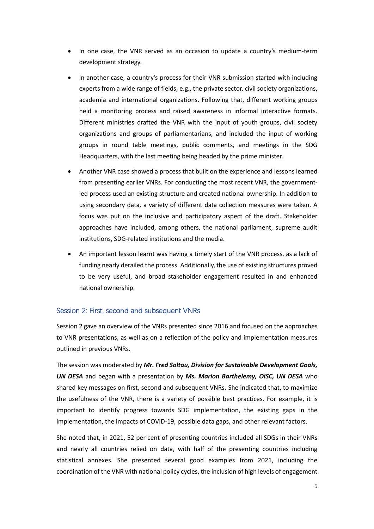- In one case, the VNR served as an occasion to update a country's medium-term development strategy.
- In another case, a country's process for their VNR submission started with including experts from a wide range of fields, e.g., the private sector, civil society organizations, academia and international organizations. Following that, different working groups held a monitoring process and raised awareness in informal interactive formats. Different ministries drafted the VNR with the input of youth groups, civil society organizations and groups of parliamentarians, and included the input of working groups in round table meetings, public comments, and meetings in the SDG Headquarters, with the last meeting being headed by the prime minister.
- Another VNR case showed a process that built on the experience and lessons learned from presenting earlier VNRs. For conducting the most recent VNR, the governmentled process used an existing structure and created national ownership. In addition to using secondary data, a variety of different data collection measures were taken. A focus was put on the inclusive and participatory aspect of the draft. Stakeholder approaches have included, among others, the national parliament, supreme audit institutions, SDG-related institutions and the media.
- An important lesson learnt was having a timely start of the VNR process, as a lack of funding nearly derailed the process. Additionally, the use of existing structures proved to be very useful, and broad stakeholder engagement resulted in and enhanced national ownership.

#### <span id="page-4-0"></span>Session 2: First, second and subsequent VNRs

Session 2 gave an overview of the VNRs presented since 2016 and focused on the approaches to VNR presentations, as well as on a reflection of the policy and implementation measures outlined in previous VNRs.

The session was moderated by *Mr. Fred Soltau, Division for Sustainable Development Goals, UN DESA* and began with a presentation by *Ms. Marion Barthelemy, OISC, UN DESA* who shared key messages on first, second and subsequent VNRs. She indicated that, to maximize the usefulness of the VNR, there is a variety of possible best practices. For example, it is important to identify progress towards SDG implementation, the existing gaps in the implementation, the impacts of COVID-19, possible data gaps, and other relevant factors.

She noted that, in 2021, 52 per cent of presenting countries included all SDGs in their VNRs and nearly all countries relied on data, with half of the presenting countries including statistical annexes. She presented several good examples from 2021, including the coordination of the VNR with national policy cycles, the inclusion of high levels of engagement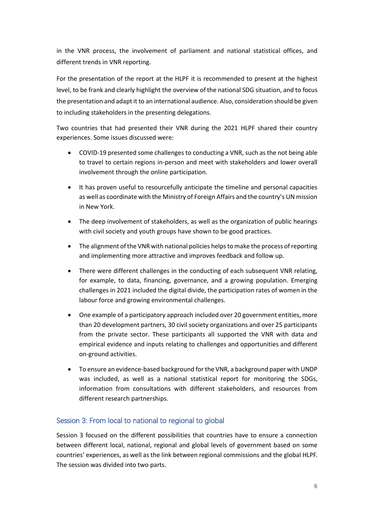in the VNR process, the involvement of parliament and national statistical offices, and different trends in VNR reporting.

For the presentation of the report at the HLPF it is recommended to present at the highest level, to be frank and clearly highlight the overview of the national SDG situation, and to focus the presentation and adapt it to an international audience. Also, consideration should be given to including stakeholders in the presenting delegations.

Two countries that had presented their VNR during the 2021 HLPF shared their country experiences. Some issues discussed were:

- COVID-19 presented some challenges to conducting a VNR, such as the not being able to travel to certain regions in-person and meet with stakeholders and lower overall involvement through the online participation.
- It has proven useful to resourcefully anticipate the timeline and personal capacities as well as coordinate with the Ministry of Foreign Affairs and the country's UN mission in New York.
- The deep involvement of stakeholders, as well as the organization of public hearings with civil society and youth groups have shown to be good practices.
- The alignment of the VNR with national policies helps to make the process of reporting and implementing more attractive and improves feedback and follow up.
- There were different challenges in the conducting of each subsequent VNR relating, for example, to data, financing, governance, and a growing population. Emerging challenges in 2021 included the digital divide, the participation rates of women in the labour force and growing environmental challenges.
- One example of a participatory approach included over 20 government entities, more than 20 development partners, 30 civil society organizations and over 25 participants from the private sector. These participants all supported the VNR with data and empirical evidence and inputs relating to challenges and opportunities and different on-ground activities.
- To ensure an evidence-based background for the VNR, a background paper with UNDP was included, as well as a national statistical report for monitoring the SDGs, information from consultations with different stakeholders, and resources from different research partnerships.

# <span id="page-5-0"></span>Session 3: From local to national to regional to global

Session 3 focused on the different possibilities that countries have to ensure a connection between different local, national, regional and global levels of government based on some countries' experiences, as well as the link between regional commissions and the global HLPF. The session was divided into two parts.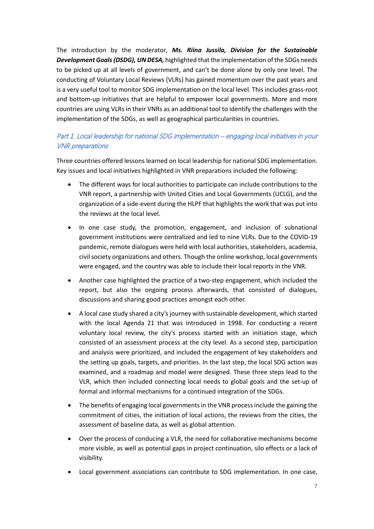The introduction by the moderator, *Ms. Riina Jussila, Division for the Sustainable Development Goals (DSDG), UN DESA,* highlighted that the implementation of the SDGs needs to be picked up at all levels of government, and can't be done alone by only one level. The conducting of Voluntary Local Reviews (VLRs) has gained momentum over the past years and is a very useful tool to monitor SDG implementation on the local level. This includes grass-root and bottom-up initiatives that are helpful to empower local governments. More and more countries are using VLRs in their VNRs as an additional tool to identify the challenges with the implementation of the SDGs, as well as geographical particularities in countries.

### Part 1. Local leadership for national SDG implementation – engaging local initiatives in your VNR preparations

Three countries offered lessons learned on local leadership for national SDG implementation. Key issues and local initiatives highlighted in VNR preparations included the following:

- The different ways for local authorities to participate can include contributions to the VNR report, a partnership with United Cities and Local Governments (UCLG), and the organization of a side-event during the HLPF that highlights the work that was put into the reviews at the local level.
- In one case study, the promotion, engagement, and inclusion of subnational government institutions were centralized and led to nine VLRs. Due to the COVID-19 pandemic, remote dialogues were held with local authorities, stakeholders, academia, civil society organizations and others. Though the online workshop, local governments were engaged, and the country was able to include their local reports in the VNR.
- Another case highlighted the practice of a two-step engagement, which included the report, but also the ongoing process afterwards, that consisted of dialogues, discussions and sharing good practices amongst each other.
- A local case study shared a city's journey with sustainable development, which started with the local Agenda 21 that was introduced in 1998. For conducting a recent voluntary local review, the city's process started with an initiation stage, which consisted of an assessment process at the city level. As a second step, participation and analysis were prioritized, and included the engagement of key stakeholders and the setting up goals, targets, and priorities. In the last step, the local SDG action was examined, and a roadmap and model were designed. These three steps lead to the VLR, which then included connecting local needs to global goals and the set-up of formal and informal mechanisms for a continued integration of the SDGs.
- The benefits of engaging local governments in the VNR process include the gaining the commitment of cities, the initiation of local actions, the reviews from the cities, the assessment of baseline data, as well as global attention.
- Over the process of conducing a VLR, the need for collaborative mechanisms become more visible, as well as potential gaps in project continuation, silo effects or a lack of visibility.
- Local government associations can contribute to SDG implementation. In one case,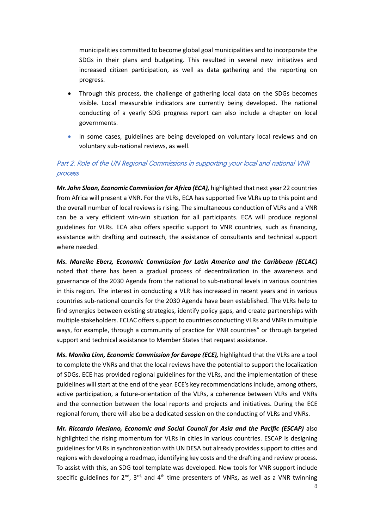municipalities committed to become global goal municipalities and to incorporate the SDGs in their plans and budgeting. This resulted in several new initiatives and increased citizen participation, as well as data gathering and the reporting on progress.

- Through this process, the challenge of gathering local data on the SDGs becomes visible. Local measurable indicators are currently being developed. The national conducting of a yearly SDG progress report can also include a chapter on local governments.
- In some cases, guidelines are being developed on voluntary local reviews and on voluntary sub-national reviews, as well.

### Part 2. Role of the UN Regional Commissions in supporting your local and national VNR process

*Mr. John Sloan, Economic Commission for Africa (ECA),* highlighted that next year 22 countries from Africa will present a VNR. For the VLRs, ECA has supported five VLRs up to this point and the overall number of local reviews is rising. The simultaneous conduction of VLRs and a VNR can be a very efficient win-win situation for all participants. ECA will produce regional guidelines for VLRs. ECA also offers specific support to VNR countries, such as financing, assistance with drafting and outreach, the assistance of consultants and technical support where needed.

*Ms. Mareike Eberz, Economic Commission for Latin America and the Caribbean (ECLAC)* noted that there has been a gradual process of decentralization in the awareness and governance of the 2030 Agenda from the national to sub-national levels in various countries in this region. The interest in conducting a VLR has increased in recent years and in various countries sub-national councils for the 2030 Agenda have been established. The VLRs help to find synergies between existing strategies, identify policy gaps, and create partnerships with multiple stakeholders. ECLAC offerssupport to countries conducting VLRs and VNRs in multiple ways, for example, through a community of practice for VNR countries" or through targeted support and technical assistance to Member States that request assistance.

*Ms. Monika Linn, Economic Commission for Europe (ECE),* highlighted that the VLRs are a tool to complete the VNRs and that the local reviews have the potential to support the localization of SDGs. ECE has provided regional guidelines for the VLRs, and the implementation of these guidelines will start at the end of the year. ECE's key recommendations include, among others, active participation, a future-orientation of the VLRs, a coherence between VLRs and VNRs and the connection between the local reports and projects and initiatives. During the ECE regional forum, there will also be a dedicated session on the conducting of VLRs and VNRs.

*Mr. Riccardo Mesiano, Economic and Social Council for Asia and the Pacific (ESCAP)* also highlighted the rising momentum for VLRs in cities in various countries. ESCAP is designing guidelines for VLRs in synchronization with UN DESA but already provides support to cities and regions with developing a roadmap, identifying key costs and the drafting and review process. To assist with this, an SDG tool template was developed. New tools for VNR support include specific guidelines for  $2^{nd}$ ,  $3^{rd}$ , and  $4^{th}$  time presenters of VNRs, as well as a VNR twinning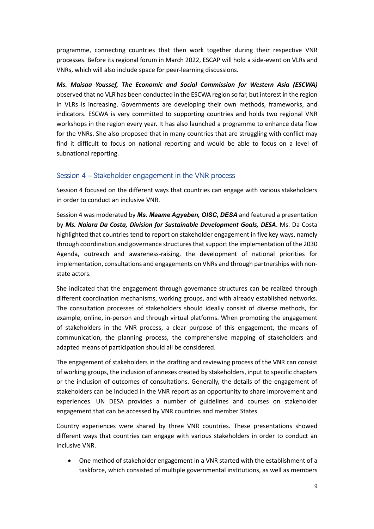programme, connecting countries that then work together during their respective VNR processes. Before its regional forum in March 2022, ESCAP will hold a side-event on VLRs and VNRs, which will also include space for peer-learning discussions.

*Ms. Maisaa Youssef, The Economic and Social Commission for Western Asia (ESCWA)* observed that no VLR has been conducted in the ESCWA region so far, but interest in the region in VLRs is increasing. Governments are developing their own methods, frameworks, and indicators. ESCWA is very committed to supporting countries and holds two regional VNR workshops in the region every year. It has also launched a programme to enhance data flow for the VNRs. She also proposed that in many countries that are struggling with conflict may find it difficult to focus on national reporting and would be able to focus on a level of subnational reporting.

#### <span id="page-8-0"></span>Session 4 – Stakeholder engagement in the VNR process

Session 4 focused on the different ways that countries can engage with various stakeholders in order to conduct an inclusive VNR.

Session 4 was moderated by *Ms. Maame Agyeben, OISC, DESA* and featured a presentation by *Ms. Naiara Da Costa, Division for Sustainable Development Goals, DESA*. Ms. Da Costa highlighted that countries tend to report on stakeholder engagement in five key ways, namely through coordination and governance structures that support the implementation of the 2030 Agenda, outreach and awareness-raising, the development of national priorities for implementation, consultations and engagements on VNRs and through partnerships with nonstate actors.

She indicated that the engagement through governance structures can be realized through different coordination mechanisms, working groups, and with already established networks. The consultation processes of stakeholders should ideally consist of diverse methods, for example, online, in-person and through virtual platforms. When promoting the engagement of stakeholders in the VNR process, a clear purpose of this engagement, the means of communication, the planning process, the comprehensive mapping of stakeholders and adapted means of participation should all be considered.

The engagement of stakeholders in the drafting and reviewing process of the VNR can consist of working groups, the inclusion of annexes created by stakeholders, input to specific chapters or the inclusion of outcomes of consultations. Generally, the details of the engagement of stakeholders can be included in the VNR report as an opportunity to share improvement and experiences. UN DESA provides a number of guidelines and courses on stakeholder engagement that can be accessed by VNR countries and member States.

Country experiences were shared by three VNR countries. These presentations showed different ways that countries can engage with various stakeholders in order to conduct an inclusive VNR.

• One method of stakeholder engagement in a VNR started with the establishment of a taskforce, which consisted of multiple governmental institutions, as well as members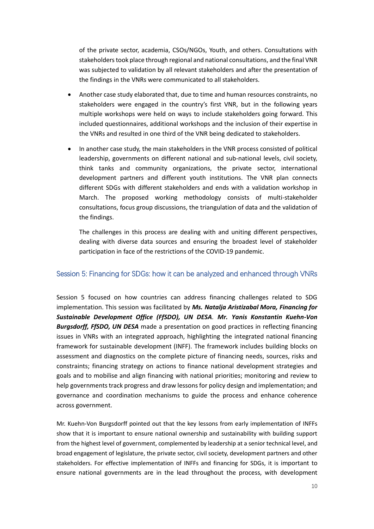of the private sector, academia, CSOs/NGOs, Youth, and others. Consultations with stakeholders took place through regional and national consultations, and the final VNR was subjected to validation by all relevant stakeholders and after the presentation of the findings in the VNRs were communicated to all stakeholders.

- Another case study elaborated that, due to time and human resources constraints, no stakeholders were engaged in the country's first VNR, but in the following years multiple workshops were held on ways to include stakeholders going forward. This included questionnaires, additional workshops and the inclusion of their expertise in the VNRs and resulted in one third of the VNR being dedicated to stakeholders.
- In another case study, the main stakeholders in the VNR process consisted of political leadership, governments on different national and sub-national levels, civil society, think tanks and community organizations, the private sector, international development partners and different youth institutions. The VNR plan connects different SDGs with different stakeholders and ends with a validation workshop in March. The proposed working methodology consists of multi-stakeholder consultations, focus group discussions, the triangulation of data and the validation of the findings.

The challenges in this process are dealing with and uniting different perspectives, dealing with diverse data sources and ensuring the broadest level of stakeholder participation in face of the restrictions of the COVID-19 pandemic.

#### <span id="page-9-0"></span>Session 5: Financing for SDGs: how it can be analyzed and enhanced through VNRs

Session 5 focused on how countries can address financing challenges related to SDG implementation. This session was facilitated by *Ms. Natalja Aristizabal Mora, Financing for Sustainable Development Office (FfSDO), UN DESA. Mr. Yanis Konstantin Kuehn-Von Burgsdorff, FfSDO, UN DESA* made a presentation on good practices in reflecting financing issues in VNRs with an integrated approach, highlighting the integrated national financing framework for sustainable development (INFF). The framework includes building blocks on assessment and diagnostics on the complete picture of financing needs, sources, risks and constraints; financing strategy on actions to finance national development strategies and goals and to mobilise and align financing with national priorities; monitoring and review to help governments track progress and draw lessons for policy design and implementation; and governance and coordination mechanisms to guide the process and enhance coherence across government.

Mr. Kuehn-Von Burgsdorff pointed out that the key lessons from early implementation of INFFs show that it is important to ensure national ownership and sustainability with building support from the highest level of government, complemented by leadership at a senior technical level, and broad engagement of legislature, the private sector, civil society, development partners and other stakeholders. For effective implementation of INFFs and financing for SDGs, it is important to ensure national governments are in the lead throughout the process, with development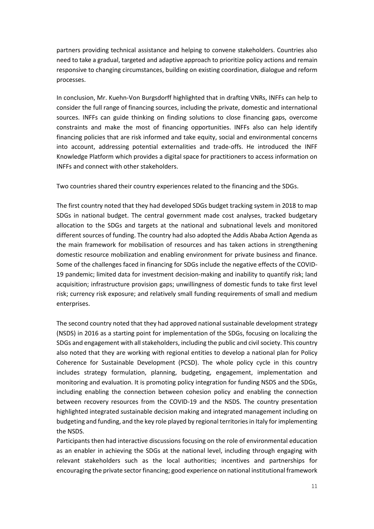partners providing technical assistance and helping to convene stakeholders. Countries also need to take a gradual, targeted and adaptive approach to prioritize policy actions and remain responsive to changing circumstances, building on existing coordination, dialogue and reform processes.

In conclusion, Mr. Kuehn-Von Burgsdorff highlighted that in drafting VNRs, INFFs can help to consider the full range of financing sources, including the private, domestic and international sources. INFFs can guide thinking on finding solutions to close financing gaps, overcome constraints and make the most of financing opportunities. INFFs also can help identify financing policies that are risk informed and take equity, social and environmental concerns into account, addressing potential externalities and trade-offs. He introduced the INFF Knowledge Platform which provides a digital space for practitioners to access information on INFFs and connect with other stakeholders.

Two countries shared their country experiences related to the financing and the SDGs.

The first country noted that they had developed SDGs budget tracking system in 2018 to map SDGs in national budget. The central government made cost analyses, tracked budgetary allocation to the SDGs and targets at the national and subnational levels and monitored different sources of funding. The country had also adopted the Addis Ababa Action Agenda as the main framework for mobilisation of resources and has taken actions in strengthening domestic resource mobilization and enabling environment for private business and finance. Some of the challenges faced in financing for SDGs include the negative effects of the COVID-19 pandemic; limited data for investment decision-making and inability to quantify risk; land acquisition; infrastructure provision gaps; unwillingness of domestic funds to take first level risk; currency risk exposure; and relatively small funding requirements of small and medium enterprises.

The second country noted that they had approved national sustainable development strategy (NSDS) in 2016 as a starting point for implementation of the SDGs, focusing on localizing the SDGs and engagement with all stakeholders, including the public and civil society. This country also noted that they are working with regional entities to develop a national plan for Policy Coherence for Sustainable Development (PCSD). The whole policy cycle in this country includes strategy formulation, planning, budgeting, engagement, implementation and monitoring and evaluation. It is promoting policy integration for funding NSDS and the SDGs, including enabling the connection between cohesion policy and enabling the connection between recovery resources from the COVID-19 and the NSDS. The country presentation highlighted integrated sustainable decision making and integrated management including on budgeting and funding, and the key role played by regional territories in Italy for implementing the NSDS.

Participants then had interactive discussions focusing on the role of environmental education as an enabler in achieving the SDGs at the national level, including through engaging with relevant stakeholders such as the local authorities; incentives and partnerships for encouraging the private sector financing; good experience on national institutional framework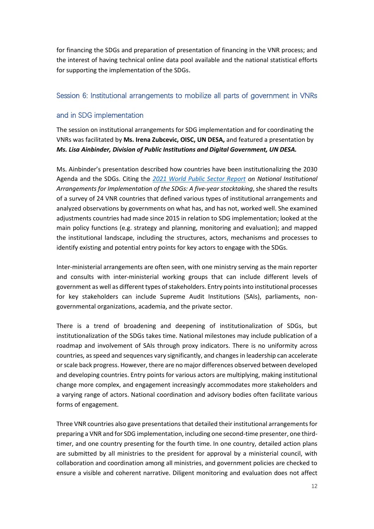for financing the SDGs and preparation of presentation of financing in the VNR process; and the interest of having technical online data pool available and the national statistical efforts for supporting the implementation of the SDGs.

### <span id="page-11-0"></span>Session 6: Institutional arrangements to mobilize all parts of government in VNRs

### and in SDG implementation

The session on institutional arrangements for SDG implementation and for coordinating the VNRs was facilitated by **Ms. Irena Zubcevic, OISC, UN DESA,** and featured a presentation by *Ms. Lisa Ainbinder, Division of Public Institutions and Digital Government, UN DESA.*

Ms. Ainbinder's presentation described how countries have been institutionalizing the 2030 Agenda and the SDGs. Citing the *[2021 World Public Sector Report](https://publicadministration.un.org/Portals/1/WPSR2021_Full-Report_24Aug-Final.pdf) on National Institutional Arrangements for Implementation of the SDGs: A five-year stocktaking*, she shared the results of a survey of 24 VNR countries that defined various types of institutional arrangements and analyzed observations by governments on what has, and has not, worked well. She examined adjustments countries had made since 2015 in relation to SDG implementation; looked at the main policy functions (e.g. strategy and planning, monitoring and evaluation); and mapped the institutional landscape, including the structures, actors, mechanisms and processes to identify existing and potential entry points for key actors to engage with the SDGs.

Inter-ministerial arrangements are often seen, with one ministry serving as the main reporter and consults with inter-ministerial working groups that can include different levels of government as well as different types of stakeholders. Entry points into institutional processes for key stakeholders can include Supreme Audit Institutions (SAIs), parliaments, nongovernmental organizations, academia, and the private sector.

There is a trend of broadening and deepening of institutionalization of SDGs, but institutionalization of the SDGs takes time. National milestones may include publication of a roadmap and involvement of SAIs through proxy indicators. There is no uniformity across countries, as speed and sequences vary significantly, and changes in leadership can accelerate or scale back progress. However, there are no major differences observed between developed and developing countries. Entry points for various actors are multiplying, making institutional change more complex, and engagement increasingly accommodates more stakeholders and a varying range of actors. National coordination and advisory bodies often facilitate various forms of engagement.

Three VNR countries also gave presentations that detailed their institutional arrangements for preparing a VNR and for SDG implementation, including one second-time presenter, one thirdtimer, and one country presenting for the fourth time. In one country, detailed action plans are submitted by all ministries to the president for approval by a ministerial council, with collaboration and coordination among all ministries, and government policies are checked to ensure a visible and coherent narrative. Diligent monitoring and evaluation does not affect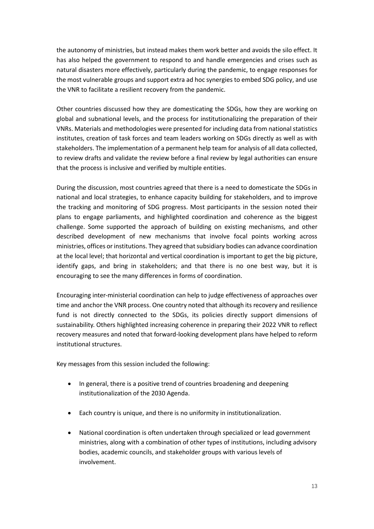the autonomy of ministries, but instead makes them work better and avoids the silo effect. It has also helped the government to respond to and handle emergencies and crises such as natural disasters more effectively, particularly during the pandemic, to engage responses for the most vulnerable groups and support extra ad hoc synergies to embed SDG policy, and use the VNR to facilitate a resilient recovery from the pandemic.

Other countries discussed how they are domesticating the SDGs, how they are working on global and subnational levels, and the process for institutionalizing the preparation of their VNRs. Materials and methodologies were presented for including data from national statistics institutes, creation of task forces and team leaders working on SDGs directly as well as with stakeholders. The implementation of a permanent help team for analysis of all data collected, to review drafts and validate the review before a final review by legal authorities can ensure that the process is inclusive and verified by multiple entities.

During the discussion, most countries agreed that there is a need to domesticate the SDGs in national and local strategies, to enhance capacity building for stakeholders, and to improve the tracking and monitoring of SDG progress. Most participants in the session noted their plans to engage parliaments, and highlighted coordination and coherence as the biggest challenge. Some supported the approach of building on existing mechanisms, and other described development of new mechanisms that involve focal points working across ministries, offices or institutions. They agreed that subsidiary bodies can advance coordination at the local level; that horizontal and vertical coordination is important to get the big picture, identify gaps, and bring in stakeholders; and that there is no one best way, but it is encouraging to see the many differences in forms of coordination.

Encouraging inter-ministerial coordination can help to judge effectiveness of approaches over time and anchor the VNR process. One country noted that although its recovery and resilience fund is not directly connected to the SDGs, its policies directly support dimensions of sustainability. Others highlighted increasing coherence in preparing their 2022 VNR to reflect recovery measures and noted that forward-looking development plans have helped to reform institutional structures.

Key messages from this session included the following:

- In general, there is a positive trend of countries broadening and deepening institutionalization of the 2030 Agenda.
- Each country is unique, and there is no uniformity in institutionalization.
- National coordination is often undertaken through specialized or lead government ministries, along with a combination of other types of institutions, including advisory bodies, academic councils, and stakeholder groups with various levels of involvement.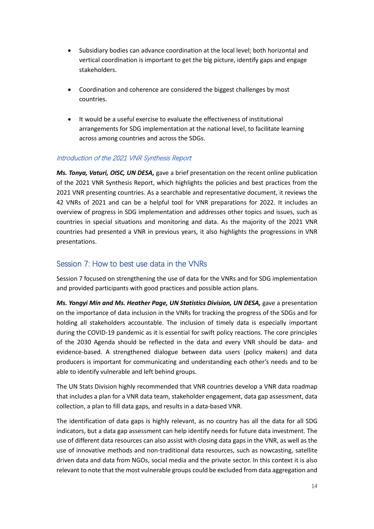- Subsidiary bodies can advance coordination at the local level; both horizontal and vertical coordination is important to get the big picture, identify gaps and engage stakeholders.
- Coordination and coherence are considered the biggest challenges by most countries.
- It would be a useful exercise to evaluate the effectiveness of institutional arrangements for SDG implementation at the national level, to facilitate learning across among countries and across the SDGs.

#### Introduction of the 2021 VNR Synthesis Report

*Ms. Tonya, Vaturi, OISC, UN DESA,* gave a brief presentation on the recent online publication of the 2021 VNR Synthesis Report, which highlights the policies and best practices from the 2021 VNR presenting countries. As a searchable and representative document, it reviews the 42 VNRs of 2021 and can be a helpful tool for VNR preparations for 2022. It includes an overview of progress in SDG implementation and addresses other topics and issues, such as countries in special situations and monitoring and data. As the majority of the 2021 VNR countries had presented a VNR in previous years, it also highlights the progressions in VNR presentations.

### <span id="page-13-0"></span>Session 7: How to best use data in the VNRs

Session 7 focused on strengthening the use of data for the VNRs and for SDG implementation and provided participants with good practices and possible action plans.

*Ms. Yongyi Min and Ms. Heather Page, UN Statistics Division, UN DESA,* gave a presentation on the importance of data inclusion in the VNRs for tracking the progress of the SDGs and for holding all stakeholders accountable. The inclusion of timely data is especially important during the COVID-19 pandemic as it is essential for swift policy reactions. The core principles of the 2030 Agenda should be reflected in the data and every VNR should be data- and evidence-based. A strengthened dialogue between data users (policy makers) and data producers is important for communicating and understanding each other's needs and to be able to identify vulnerable and left behind groups.

The UN Stats Division highly recommended that VNR countries develop a VNR data roadmap that includes a plan for a VNR data team, stakeholder engagement, data gap assessment, data collection, a plan to fill data gaps, and results in a data-based VNR.

The identification of data gaps is highly relevant, as no country has all the data for all SDG indicators, but a data gap assessment can help identify needs for future data investment. The use of different data resources can also assist with closing data gaps in the VNR, as well as the use of innovative methods and non-traditional data resources, such as nowcasting, satellite driven data and data from NGOs, social media and the private sector. In this context it is also relevant to note that the most vulnerable groups could be excluded from data aggregation and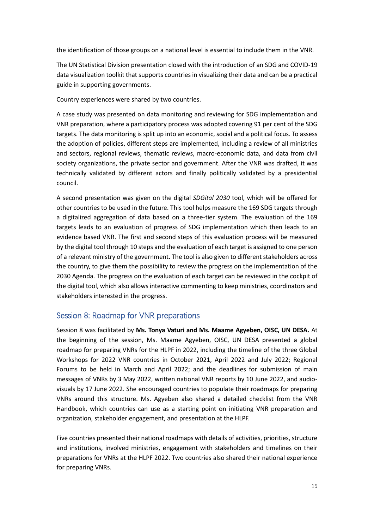the identification of those groups on a national level is essential to include them in the VNR.

The UN Statistical Division presentation closed with the introduction of an SDG and COVID-19 data visualization toolkit that supports countries in visualizing their data and can be a practical guide in supporting governments.

Country experiences were shared by two countries.

A case study was presented on data monitoring and reviewing for SDG implementation and VNR preparation, where a participatory process was adopted covering 91 per cent of the SDG targets. The data monitoring is split up into an economic, social and a political focus. To assess the adoption of policies, different steps are implemented, including a review of all ministries and sectors, regional reviews, thematic reviews, macro-economic data, and data from civil society organizations, the private sector and government. After the VNR was drafted, it was technically validated by different actors and finally politically validated by a presidential council.

A second presentation was given on the digital *SDGital 2030* tool, which will be offered for other countries to be used in the future. This tool helps measure the 169 SDG targets through a digitalized aggregation of data based on a three-tier system. The evaluation of the 169 targets leads to an evaluation of progress of SDG implementation which then leads to an evidence based VNR. The first and second steps of this evaluation process will be measured by the digital tool through 10 steps and the evaluation of each target is assigned to one person of a relevant ministry of the government. The tool is also given to different stakeholders across the country, to give them the possibility to review the progress on the implementation of the 2030 Agenda. The progress on the evaluation of each target can be reviewed in the cockpit of the digital tool, which also allows interactive commenting to keep ministries, coordinators and stakeholders interested in the progress.

# <span id="page-14-0"></span>Session 8: Roadmap for VNR preparations

Session 8 was facilitated by **Ms. Tonya Vaturi and Ms. Maame Agyeben, OISC, UN DESA.** At the beginning of the session, Ms. Maame Agyeben, OISC, UN DESA presented a global roadmap for preparing VNRs for the HLPF in 2022, including the timeline of the three Global Workshops for 2022 VNR countries in October 2021, April 2022 and July 2022; Regional Forums to be held in March and April 2022; and the deadlines for submission of main messages of VNRs by 3 May 2022, written national VNR reports by 10 June 2022, and audiovisuals by 17 June 2022. She encouraged countries to populate their roadmaps for preparing VNRs around this structure. Ms. Agyeben also shared a detailed checklist from the VNR Handbook, which countries can use as a starting point on initiating VNR preparation and organization, stakeholder engagement, and presentation at the HLPF.

Five countries presented their national roadmaps with details of activities, priorities, structure and institutions, involved ministries, engagement with stakeholders and timelines on their preparations for VNRs at the HLPF 2022. Two countries also shared their national experience for preparing VNRs.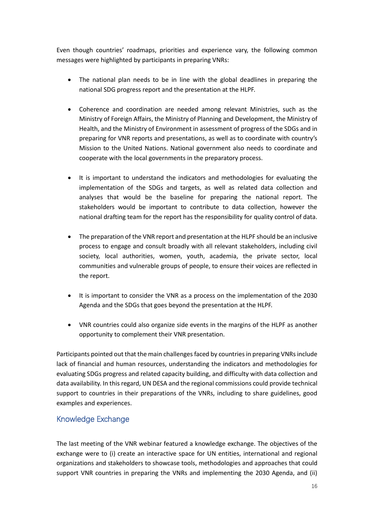Even though countries' roadmaps, priorities and experience vary, the following common messages were highlighted by participants in preparing VNRs:

- The national plan needs to be in line with the global deadlines in preparing the national SDG progress report and the presentation at the HLPF.
- Coherence and coordination are needed among relevant Ministries, such as the Ministry of Foreign Affairs, the Ministry of Planning and Development, the Ministry of Health, and the Ministry of Environment in assessment of progress of the SDGs and in preparing for VNR reports and presentations, as well as to coordinate with country's Mission to the United Nations. National government also needs to coordinate and cooperate with the local governments in the preparatory process.
- It is important to understand the indicators and methodologies for evaluating the implementation of the SDGs and targets, as well as related data collection and analyses that would be the baseline for preparing the national report. The stakeholders would be important to contribute to data collection, however the national drafting team for the report has the responsibility for quality control of data.
- The preparation of the VNR report and presentation at the HLPF should be an inclusive process to engage and consult broadly with all relevant stakeholders, including civil society, local authorities, women, youth, academia, the private sector, local communities and vulnerable groups of people, to ensure their voices are reflected in the report.
- It is important to consider the VNR as a process on the implementation of the 2030 Agenda and the SDGs that goes beyond the presentation at the HLPF.
- VNR countries could also organize side events in the margins of the HLPF as another opportunity to complement their VNR presentation.

Participants pointed out that the main challenges faced by countries in preparing VNRs include lack of financial and human resources, understanding the indicators and methodologies for evaluating SDGs progress and related capacity building, and difficulty with data collection and data availability. In this regard, UN DESA and the regional commissions could provide technical support to countries in their preparations of the VNRs, including to share guidelines, good examples and experiences.

### <span id="page-15-0"></span>Knowledge Exchange

The last meeting of the VNR webinar featured a knowledge exchange. The objectives of the exchange were to (i) create an interactive space for UN entities, international and regional organizations and stakeholders to showcase tools, methodologies and approaches that could support VNR countries in preparing the VNRs and implementing the 2030 Agenda, and (ii)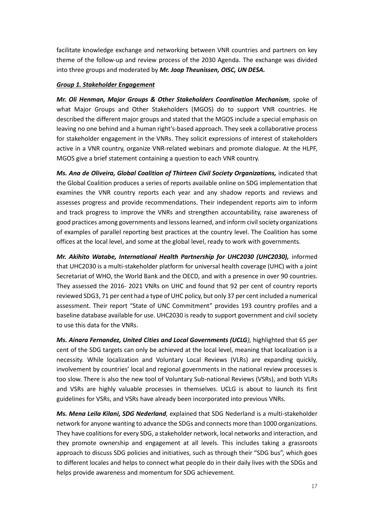facilitate knowledge exchange and networking between VNR countries and partners on key theme of the follow-up and review process of the 2030 Agenda. The exchange was divided into three groups and moderated by *Mr. Joop Theunissen, OISC, UN DESA.*

#### *Group 1. Stakeholder Engagement*

*Mr. Oli Henman, Major Groups & Other Stakeholders Coordination Mechanism,* spoke of what Major Groups and Other Stakeholders (MGOS) do to support VNR countries. He described the different major groups and stated that the MGOS include a special emphasis on leaving no one behind and a human right's-based approach. They seek a collaborative process for stakeholder engagement in the VNRs. They solicit expressions of interest of stakeholders active in a VNR country, organize VNR-related webinars and promote dialogue. At the HLPF, MGOS give a brief statement containing a question to each VNR country.

*Ms. Ana de Oliveira, Global Coalition of Thirteen Civil Society Organizations,* indicated that the Global Coalition produces a series of reports available online on SDG implementation that examines the VNR country reports each year and any shadow reports and reviews and assesses progress and provide recommendations. Their independent reports aim to inform and track progress to improve the VNRs and strengthen accountability, raise awareness of good practices among governments and lessons learned, and inform civil society organizations of examples of parallel reporting best practices at the country level. The Coalition has some offices at the local level, and some at the global level, ready to work with governments.

*Mr. Akihito Watabe, International Health Partnership for UHC2030 (UHC2030),* informed that UHC2030 is a multi-stakeholder platform for universal health coverage (UHC) with a joint Secretariat of WHO, the World Bank and the OECD, and with a presence in over 90 countries. They assessed the 2016- 2021 VNRs on UHC and found that 92 per cent of country reports reviewed SDG3, 71 per cent had a type of UHC policy, but only 37 per cent included a numerical assessment. Their report "State of UNC Commitment" provides 193 country profiles and a baseline database available for use. UHC2030 is ready to support government and civil society to use this data for the VNRs.

*Ms. Ainara Fernandez, United Cities and Local Governments (UCLG),* highlighted that 65 per cent of the SDG targets can only be achieved at the local level, meaning that localization is a necessity. While localization and Voluntary Local Reviews (VLRs) are expanding quickly, involvement by countries' local and regional governments in the national review processes is too slow. There is also the new tool of Voluntary Sub-national Reviews (VSRs), and both VLRs and VSRs are highly valuable processes in themselves. UCLG is about to launch its first guidelines for VSRs, and VSRs have already been incorporated into previous VNRs.

*Ms. Mena Leila Kilani, SDG Nederland,* explained that SDG Nederland is a multi-stakeholder network for anyone wanting to advance the SDGs and connects more than 1000 organizations. They have coalitions for every SDG, a stakeholder network, local networks and interaction, and they promote ownership and engagement at all levels. This includes taking a grassroots approach to discuss SDG policies and initiatives, such as through their "SDG bus", which goes to different locales and helps to connect what people do in their daily lives with the SDGs and helps provide awareness and momentum for SDG achievement.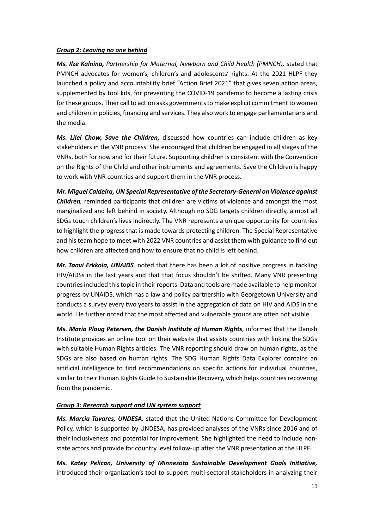#### *Group 2: Leaving no one behind*

*Ms. Ilze Kalnina, Partnership for Maternal, Newborn and Child Health (PMNCH),* stated that PMNCH advocates for women's, children's and adolescents' rights. At the 2021 HLPF they launched a policy and accountability brief "Action Brief 2021" that gives seven action areas, supplemented by tool kits, for preventing the COVID-19 pandemic to become a lasting crisis for these groups. Their call to action asks governments to make explicit commitment to women and children in policies, financing and services. They also work to engage parliamentarians and the media.

*Ms. Lilei Chow, Save the Children,* discussed how countries can include children as key stakeholders in the VNR process. She encouraged that children be engaged in all stages of the VNRs, both for now and for their future. Supporting children is consistent with the Convention on the Rights of the Child and other instruments and agreements. Save the Children is happy to work with VNR countries and support them in the VNR process.

*Mr. Miguel Caldeira, UN Special Representative of the Secretary-General on Violence against Children,* reminded participants that children are victims of violence and amongst the most marginalized and left behind in society. Although no SDG targets children directly, almost all SDGs touch children's lives indirectly. The VNR represents a unique opportunity for countries to highlight the progress that is made towards protecting children. The Special Representative and his team hope to meet with 2022 VNR countries and assist them with guidance to find out how children are affected and how to ensure that no child is left behind.

*Mr. Taavi Erkkola, UNAIDS,* noted that there has been a lot of positive progress in tackling HIV/AIDSs in the last years and that that focus shouldn't be shifted. Many VNR presenting countries included this topic in their reports. Data and tools are made available to help monitor progress by UNAIDS, which has a law and policy partnership with Georgetown University and conducts a survey every two years to assist in the aggregation of data on HIV and AIDS in the world. He further noted that the most affected and vulnerable groups are often not visible.

*Ms. Maria Ploug Petersen, the Danish Institute of Human Rights,* informed that the Danish Institute provides an online tool on their website that assists countries with linking the SDGs with suitable Human Rights articles. The VNR reporting should draw on human rights, as the SDGs are also based on human rights. The SDG Human Rights Data Explorer contains an artificial intelligence to find recommendations on specific actions for individual countries, similar to their Human Rights Guide to Sustainable Recovery, which helps countries recovering from the pandemic.

#### *Group 3: Research support and UN system support*

*Ms. Marcia Tavares, UNDESA,* stated that the United Nations Committee for Development Policy, which is supported by UNDESA, has provided analyses of the VNRs since 2016 and of their inclusiveness and potential for improvement. She highlighted the need to include nonstate actors and provide for country level follow-up after the VNR presentation at the HLPF.

*Ms. Katey Pelican, University of Minnesota Sustainable Development Goals Initiative,* introduced their organization's tool to support multi-sectoral stakeholders in analyzing their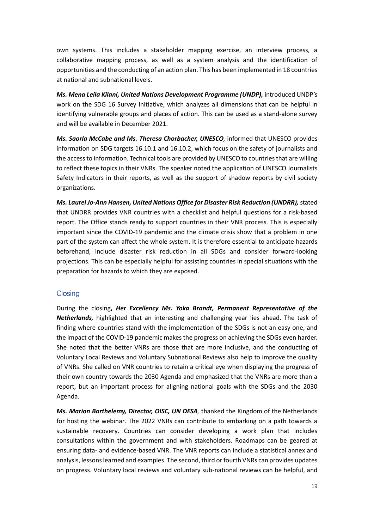own systems. This includes a stakeholder mapping exercise, an interview process, a collaborative mapping process, as well as a system analysis and the identification of opportunities and the conducting of an action plan. This has been implemented in 18 countries at national and subnational levels.

*Ms. Mena Leila Kilani, United Nations Development Programme (UNDP),* introduced UNDP's work on the SDG 16 Survey Initiative, which analyzes all dimensions that can be helpful in identifying vulnerable groups and places of action. This can be used as a stand-alone survey and will be available in December 2021.

*Ms. Saorla McCabe and Ms. Theresa Chorbacher, UNESCO,* informed that UNESCO provides information on SDG targets 16.10.1 and 16.10.2, which focus on the safety of journalists and the access to information. Technical tools are provided by UNESCO to countries that are willing to reflect these topics in their VNRs. The speaker noted the application of UNESCO Journalists Safety Indicators in their reports, as well as the support of shadow reports by civil society organizations.

*Ms. Laurel Jo-Ann Hansen, United Nations Office for Disaster Risk Reduction (UNDRR),* stated that UNDRR provides VNR countries with a checklist and helpful questions for a risk-based report. The Office stands ready to support countries in their VNR process. This is especially important since the COVID-19 pandemic and the climate crisis show that a problem in one part of the system can affect the whole system. It is therefore essential to anticipate hazards beforehand, include disaster risk reduction in all SDGs and consider forward-looking projections. This can be especially helpful for assisting countries in special situations with the preparation for hazards to which they are exposed.

#### <span id="page-18-0"></span>**Closing**

During the closing**,** *Her Excellency Ms. Yoka Brandt, Permanent Representative of the Netherlands,* highlighted that an interesting and challenging year lies ahead. The task of finding where countries stand with the implementation of the SDGs is not an easy one, and the impact of the COVID-19 pandemic makes the progress on achieving the SDGs even harder. She noted that the better VNRs are those that are more inclusive, and the conducting of Voluntary Local Reviews and Voluntary Subnational Reviews also help to improve the quality of VNRs. She called on VNR countries to retain a critical eye when displaying the progress of their own country towards the 2030 Agenda and emphasized that the VNRs are more than a report, but an important process for aligning national goals with the SDGs and the 2030 Agenda.

*Ms. Marion Barthelemy, Director, OISC, UN DESA,* thanked the Kingdom of the Netherlands for hosting the webinar. The 2022 VNRs can contribute to embarking on a path towards a sustainable recovery. Countries can consider developing a work plan that includes consultations within the government and with stakeholders. Roadmaps can be geared at ensuring data- and evidence-based VNR. The VNR reports can include a statistical annex and analysis, lessons learned and examples. The second, third or fourth VNRs can provides updates on progress. Voluntary local reviews and voluntary sub-national reviews can be helpful, and